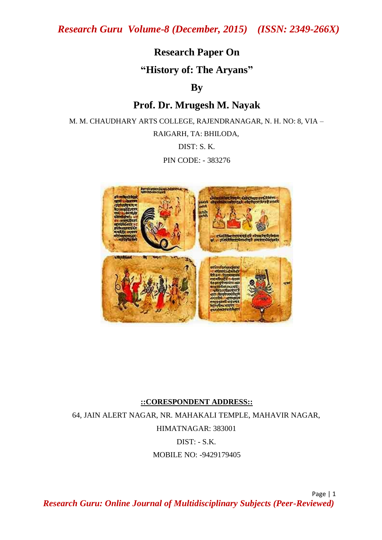## **Research Paper On**

**"History of: The Aryans"**

### **By**

# **Prof. Dr. Mrugesh M. Nayak**

M. M. CHAUDHARY ARTS COLLEGE, RAJENDRANAGAR, N. H. NO: 8, VIA – RAIGARH, TA: BHILODA, DIST: S. K.

PIN CODE: - 383276



#### **::CORESPONDENT ADDRESS::**

64, JAIN ALERT NAGAR, NR. MAHAKALI TEMPLE, MAHAVIR NAGAR, HIMATNAGAR: 383001 DIST: - S.K. MOBILE NO: -9429179405

Page | 1 *Research Guru: Online Journal of Multidisciplinary Subjects (Peer-Reviewed)*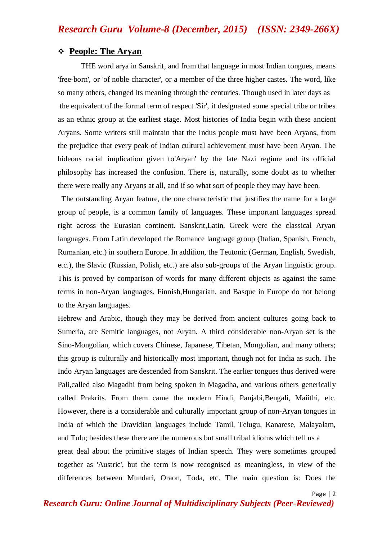#### **People: The Aryan**

THE word arya in Sanskrit, and from that language in most Indian tongues, means 'free-born', or 'of noble character', or a member of the three higher castes. The word, like so many others, changed its meaning through the centuries. Though used in later days as the equivalent of the formal term of respect 'Sir', it designated some special tribe or tribes as an ethnic group at the earliest stage. Most histories of India begin with these ancient Aryans. Some writers still maintain that the Indus people must have been Aryans, from the prejudice that every peak of Indian cultural achievement must have been Aryan. The hideous racial implication given to'Aryan' by the late Nazi regime and its official philosophy has increased the confusion. There is, naturally, some doubt as to whether there were really any Aryans at all, and if so what sort of people they may have been.

 The outstanding Aryan feature, the one characteristic that justifies the name for a large group of people, is a common family of languages. These important languages spread right across the Eurasian continent. Sanskrit,Latin, Greek were the classical Aryan languages. From Latin developed the Romance language group (Italian, Spanish, French, Rumanian, etc.) in southern Europe. In addition, the Teutonic (German, English, Swedish, etc.), the Slavic (Russian, Polish, etc.) are also sub-groups of the Aryan linguistic group. This is proved by comparison of words for many different objects as against the same terms in non-Aryan languages. Finnish,Hungarian, and Basque in Europe do not belong to the Aryan languages.

Hebrew and Arabic, though they may be derived from ancient cultures going back to Sumeria, are Semitic languages, not Aryan. A third considerable non-Aryan set is the Sino-Mongolian, which covers Chinese, Japanese, Tibetan, Mongolian, and many others; this group is culturally and historically most important, though not for India as such. The Indo Aryan languages are descended from Sanskrit. The earlier tongues thus derived were Pali,called also Magadhi from being spoken in Magadha, and various others generically called Prakrits. From them came the modern Hindi, Panjabi,Bengali, Maiithi, etc. However, there is a considerable and culturally important group of non-Aryan tongues in India of which the Dravidian languages include Tamil, Telugu, Kanarese, Malayalam, and Tulu; besides these there are the numerous but small tribal idioms which tell us a great deal about the primitive stages of Indian speech. They were sometimes grouped together as 'Austric', but the term is now recognised as meaningless, in view of the differences between Mundari, Oraon, Toda, etc. The main question is: Does the

Page | 2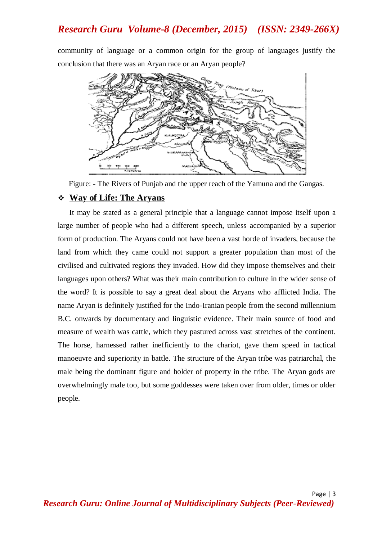community of language or a common origin for the group of languages justify the conclusion that there was an Aryan race or an Aryan people?



Figure: - The Rivers of Punjab and the upper reach of the Yamuna and the Gangas.

#### **Way of Life: The Aryans**

It may be stated as a general principle that a language cannot impose itself upon a large number of people who had a different speech, unless accompanied by a superior form of production. The Aryans could not have been a vast horde of invaders, because the land from which they came could not support a greater population than most of the civilised and cultivated regions they invaded. How did they impose themselves and their languages upon others? What was their main contribution to culture in the wider sense of the word? It is possible to say a great deal about the Aryans who afflicted India. The name Aryan is definitely justified for the Indo-Iranian people from the second millennium B.C. onwards by documentary and linguistic evidence. Their main source of food and measure of wealth was cattle, which they pastured across vast stretches of the continent. The horse, harnessed rather inefficiently to the chariot, gave them speed in tactical manoeuvre and superiority in battle. The structure of the Aryan tribe was patriarchal, the male being the dominant figure and holder of property in the tribe. The Aryan gods are overwhelmingly male too, but some goddesses were taken over from older, times or older people.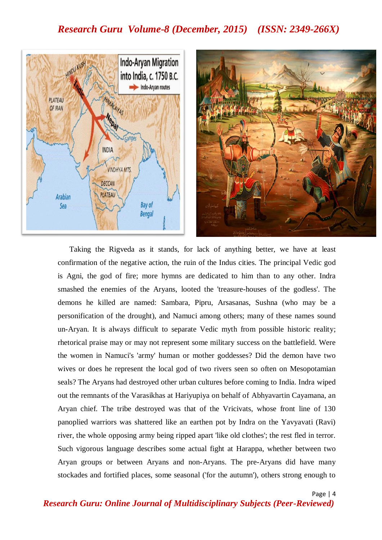

Taking the Rigveda as it stands, for lack of anything better, we have at least confirmation of the negative action, the ruin of the Indus cities. The principal Vedic god is Agni, the god of fire; more hymns are dedicated to him than to any other. Indra smashed the enemies of the Aryans, looted the 'treasure-houses of the godless'. The demons he killed are named: Sambara, Pipru, Arsasanas, Sushna (who may be a personification of the drought), and Namuci among others; many of these names sound un-Aryan. It is always difficult to separate Vedic myth from possible historic reality; rhetorical praise may or may not represent some military success on the battlefield. Were the women in Namuci's 'army' human or mother goddesses? Did the demon have two wives or does he represent the local god of two rivers seen so often on Mesopotamian seals? The Aryans had destroyed other urban cultures before coming to India. Indra wiped out the remnants of the Varasikhas at Hariyupiya on behalf of Abhyavartin Cayamana, an Aryan chief. The tribe destroyed was that of the Vricivats, whose front line of 130 panoplied warriors was shattered like an earthen pot by Indra on the Yavyavati (Ravi) river, the whole opposing army being ripped apart 'like old clothes'; the rest fled in terror. Such vigorous language describes some actual fight at Harappa, whether between two Aryan groups or between Aryans and non-Aryans. The pre-Aryans did have many stockades and fortified places, some seasonal ('for the autumn'), others strong enough to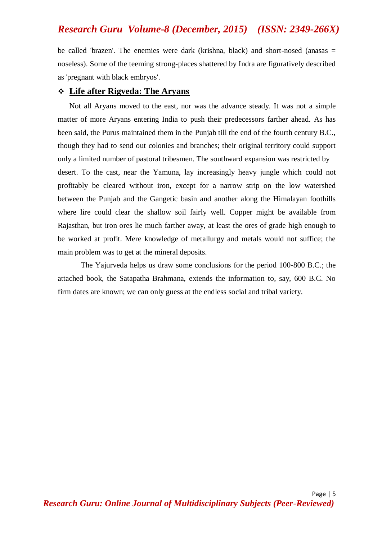be called 'brazen'. The enemies were dark (krishna, black) and short-nosed (anasas  $=$ noseless). Some of the teeming strong-places shattered by Indra are figuratively described as 'pregnant with black embryos'.

#### **Life after Rigveda: The Aryans**

Not all Aryans moved to the east, nor was the advance steady. It was not a simple matter of more Aryans entering India to push their predecessors farther ahead. As has been said, the Purus maintained them in the Punjab till the end of the fourth century B.C., though they had to send out colonies and branches; their original territory could support only a limited number of pastoral tribesmen. The southward expansion was restricted by desert. To the cast, near the Yamuna, lay increasingly heavy jungle which could not profitably be cleared without iron, except for a narrow strip on the low watershed between the Punjab and the Gangetic basin and another along the Himalayan foothills where lire could clear the shallow soil fairly well. Copper might be available from Rajasthan, but iron ores lie much farther away, at least the ores of grade high enough to be worked at profit. Mere knowledge of metallurgy and metals would not suffice; the main problem was to get at the mineral deposits.

The Yajurveda helps us draw some conclusions for the period 100-800 B.C.; the attached book, the Satapatha Brahmana, extends the information to, say, 600 B.C. No firm dates are known; we can only guess at the endless social and tribal variety.